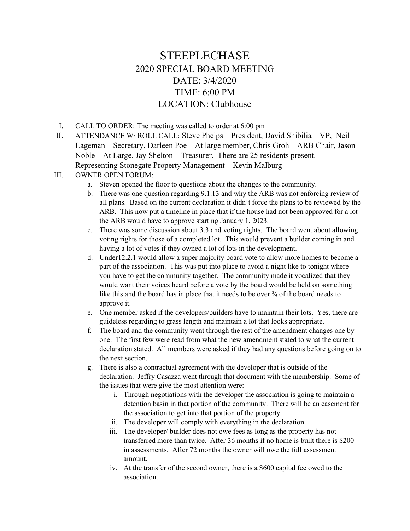## STEEPLECHASE 2020 SPECIAL BOARD MEETING DATE: 3/4/2020 TIME: 6:00 PM LOCATION: Clubhouse

- I. CALL TO ORDER: The meeting was called to order at 6:00 pm
- II. ATTENDANCE W/ ROLL CALL: Steve Phelps President, David Shibilia VP, Neil Lageman – Secretary, Darleen Poe – At large member, Chris Groh – ARB Chair, Jason Noble – At Large, Jay Shelton – Treasurer. There are 25 residents present. Representing Stonegate Property Management – Kevin Malburg
- III. OWNER OPEN FORUM:
	- a. Steven opened the floor to questions about the changes to the community.
	- b. There was one question regarding 9.1.13 and why the ARB was not enforcing review of all plans. Based on the current declaration it didn't force the plans to be reviewed by the ARB. This now put a timeline in place that if the house had not been approved for a lot the ARB would have to approve starting January 1, 2023.
	- c. There was some discussion about 3.3 and voting rights. The board went about allowing voting rights for those of a completed lot. This would prevent a builder coming in and having a lot of votes if they owned a lot of lots in the development.
	- d. Under12.2.1 would allow a super majority board vote to allow more homes to become a part of the association. This was put into place to avoid a night like to tonight where you have to get the community together. The community made it vocalized that they would want their voices heard before a vote by the board would be held on something like this and the board has in place that it needs to be over  $\frac{3}{4}$  of the board needs to approve it.
	- e. One member asked if the developers/builders have to maintain their lots. Yes, there are guideless regarding to grass length and maintain a lot that looks appropriate.
	- f. The board and the community went through the rest of the amendment changes one by one. The first few were read from what the new amendment stated to what the current declaration stated. All members were asked if they had any questions before going on to the next section.
	- g. There is also a contractual agreement with the developer that is outside of the declaration. Jeffry Casazza went through that document with the membership. Some of the issues that were give the most attention were:
		- i. Through negotiations with the developer the association is going to maintain a detention basin in that portion of the community. There will be an easement for the association to get into that portion of the property.
		- ii. The developer will comply with everything in the declaration.
		- iii. The developer/ builder does not owe fees as long as the property has not transferred more than twice. After 36 months if no home is built there is \$200 in assessments. After 72 months the owner will owe the full assessment amount.
		- iv. At the transfer of the second owner, there is a \$600 capital fee owed to the association.